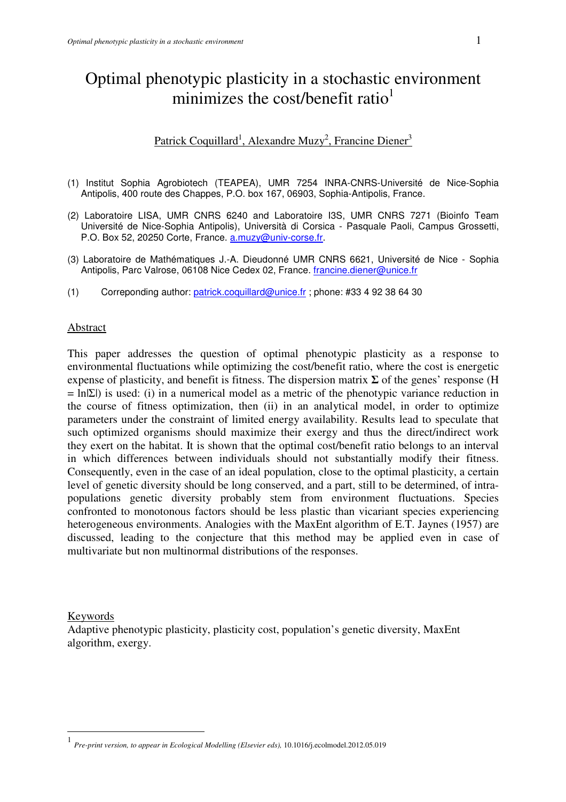# Optimal phenotypic plasticity in a stochastic environment minimizes the cost/benefit ratio $<sup>1</sup>$ </sup>

# Patrick Coquillard<sup>1</sup>, Alexandre Muzy<sup>2</sup>, Francine Diener<sup>3</sup>

- (1) Institut Sophia Agrobiotech (TEAPEA), UMR 7254 INRA-CNRS-Université de Nice-Sophia Antipolis, 400 route des Chappes, P.O. box 167, 06903, Sophia-Antipolis, France.
- (2) Laboratoire LISA, UMR CNRS 6240 and Laboratoire I3S, UMR CNRS 7271 (Bioinfo Team Université de Nice-Sophia Antipolis), Università di Corsica - Pasquale Paoli, Campus Grossetti, P.O. Box 52, 20250 Corte, France. a.muzy@univ-corse.fr.
- (3) Laboratoire de Mathématiques J.-A. Dieudonné UMR CNRS 6621, Université de Nice Sophia Antipolis, Parc Valrose, 06108 Nice Cedex 02, France. francine.diener@unice.fr
- (1) Correponding author: patrick.coquillard@unice.fr ; phone: #33 4 92 38 64 30

## Abstract

This paper addresses the question of optimal phenotypic plasticity as a response to environmental fluctuations while optimizing the cost/benefit ratio, where the cost is energetic expense of plasticity, and benefit is fitness. The dispersion matrix  $\Sigma$  of the genes' response (H  $=$  ln|Σ|) is used: (i) in a numerical model as a metric of the phenotypic variance reduction in the course of fitness optimization, then (ii) in an analytical model, in order to optimize parameters under the constraint of limited energy availability. Results lead to speculate that such optimized organisms should maximize their exergy and thus the direct/indirect work they exert on the habitat. It is shown that the optimal cost/benefit ratio belongs to an interval in which differences between individuals should not substantially modify their fitness. Consequently, even in the case of an ideal population, close to the optimal plasticity, a certain level of genetic diversity should be long conserved, and a part, still to be determined, of intrapopulations genetic diversity probably stem from environment fluctuations. Species confronted to monotonous factors should be less plastic than vicariant species experiencing heterogeneous environments. Analogies with the MaxEnt algorithm of E.T. Jaynes (1957) are discussed, leading to the conjecture that this method may be applied even in case of multivariate but non multinormal distributions of the responses.

## Keywords

 $\overline{a}$ 

Adaptive phenotypic plasticity, plasticity cost, population's genetic diversity, MaxEnt algorithm, exergy.

<sup>1</sup> *Pre-print version, to appear in Ecological Modelling (Elsevier eds),* 10.1016/j.ecolmodel.2012.05.019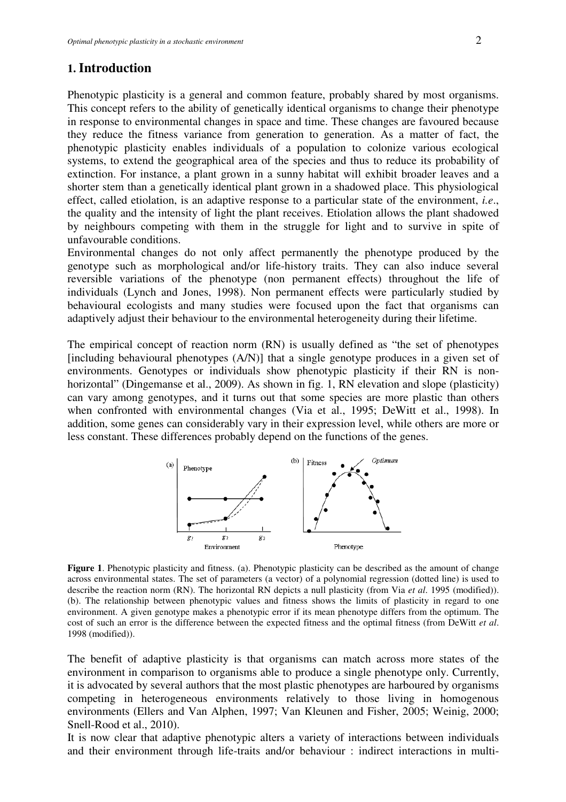# **1. Introduction**

Phenotypic plasticity is a general and common feature, probably shared by most organisms. This concept refers to the ability of genetically identical organisms to change their phenotype in response to environmental changes in space and time. These changes are favoured because they reduce the fitness variance from generation to generation. As a matter of fact, the phenotypic plasticity enables individuals of a population to colonize various ecological systems, to extend the geographical area of the species and thus to reduce its probability of extinction. For instance, a plant grown in a sunny habitat will exhibit broader leaves and a shorter stem than a genetically identical plant grown in a shadowed place. This physiological effect, called etiolation, is an adaptive response to a particular state of the environment, *i.e*., the quality and the intensity of light the plant receives. Etiolation allows the plant shadowed by neighbours competing with them in the struggle for light and to survive in spite of unfavourable conditions.

Environmental changes do not only affect permanently the phenotype produced by the genotype such as morphological and/or life-history traits. They can also induce several reversible variations of the phenotype (non permanent effects) throughout the life of individuals (Lynch and Jones, 1998). Non permanent effects were particularly studied by behavioural ecologists and many studies were focused upon the fact that organisms can adaptively adjust their behaviour to the environmental heterogeneity during their lifetime.

The empirical concept of reaction norm (RN) is usually defined as "the set of phenotypes [including behavioural phenotypes (A/N)] that a single genotype produces in a given set of environments. Genotypes or individuals show phenotypic plasticity if their RN is nonhorizontal" (Dingemanse et al., 2009). As shown in fig. 1, RN elevation and slope (plasticity) can vary among genotypes, and it turns out that some species are more plastic than others when confronted with environmental changes (Via et al., 1995; DeWitt et al., 1998). In addition, some genes can considerably vary in their expression level, while others are more or less constant. These differences probably depend on the functions of the genes.



**Figure 1**. Phenotypic plasticity and fitness. (a). Phenotypic plasticity can be described as the amount of change across environmental states. The set of parameters (a vector) of a polynomial regression (dotted line) is used to describe the reaction norm (RN). The horizontal RN depicts a null plasticity (from Via *et al*. 1995 (modified)). (b). The relationship between phenotypic values and fitness shows the limits of plasticity in regard to one environment. A given genotype makes a phenotypic error if its mean phenotype differs from the optimum. The cost of such an error is the difference between the expected fitness and the optimal fitness (from DeWitt *et al*. 1998 (modified)).

The benefit of adaptive plasticity is that organisms can match across more states of the environment in comparison to organisms able to produce a single phenotype only. Currently, it is advocated by several authors that the most plastic phenotypes are harboured by organisms competing in heterogeneous environments relatively to those living in homogenous environments (Ellers and Van Alphen, 1997; Van Kleunen and Fisher, 2005; Weinig, 2000; Snell-Rood et al., 2010).

It is now clear that adaptive phenotypic alters a variety of interactions between individuals and their environment through life-traits and/or behaviour : indirect interactions in multi-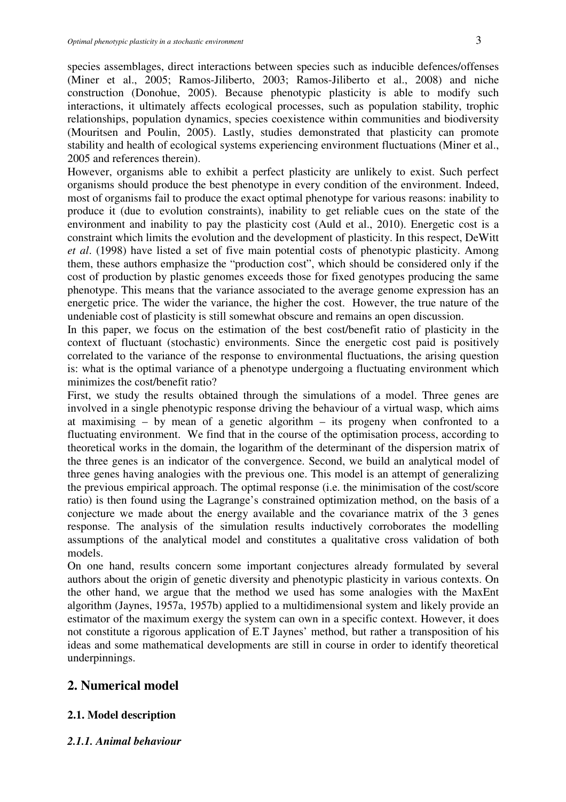species assemblages, direct interactions between species such as inducible defences/offenses (Miner et al., 2005; Ramos-Jiliberto, 2003; Ramos-Jiliberto et al., 2008) and niche construction (Donohue, 2005). Because phenotypic plasticity is able to modify such interactions, it ultimately affects ecological processes, such as population stability, trophic relationships, population dynamics, species coexistence within communities and biodiversity (Mouritsen and Poulin, 2005). Lastly, studies demonstrated that plasticity can promote stability and health of ecological systems experiencing environment fluctuations (Miner et al., 2005 and references therein).

However, organisms able to exhibit a perfect plasticity are unlikely to exist. Such perfect organisms should produce the best phenotype in every condition of the environment. Indeed, most of organisms fail to produce the exact optimal phenotype for various reasons: inability to produce it (due to evolution constraints), inability to get reliable cues on the state of the environment and inability to pay the plasticity cost (Auld et al., 2010). Energetic cost is a constraint which limits the evolution and the development of plasticity. In this respect, DeWitt *et al*. (1998) have listed a set of five main potential costs of phenotypic plasticity. Among them, these authors emphasize the "production cost", which should be considered only if the cost of production by plastic genomes exceeds those for fixed genotypes producing the same phenotype. This means that the variance associated to the average genome expression has an energetic price. The wider the variance, the higher the cost. However, the true nature of the undeniable cost of plasticity is still somewhat obscure and remains an open discussion.

In this paper, we focus on the estimation of the best cost/benefit ratio of plasticity in the context of fluctuant (stochastic) environments. Since the energetic cost paid is positively correlated to the variance of the response to environmental fluctuations, the arising question is: what is the optimal variance of a phenotype undergoing a fluctuating environment which minimizes the cost/benefit ratio?

First, we study the results obtained through the simulations of a model. Three genes are involved in a single phenotypic response driving the behaviour of a virtual wasp, which aims at maximising – by mean of a genetic algorithm – its progeny when confronted to a fluctuating environment. We find that in the course of the optimisation process, according to theoretical works in the domain, the logarithm of the determinant of the dispersion matrix of the three genes is an indicator of the convergence. Second, we build an analytical model of three genes having analogies with the previous one. This model is an attempt of generalizing the previous empirical approach. The optimal response (i.e. the minimisation of the cost/score ratio) is then found using the Lagrange's constrained optimization method, on the basis of a conjecture we made about the energy available and the covariance matrix of the 3 genes response. The analysis of the simulation results inductively corroborates the modelling assumptions of the analytical model and constitutes a qualitative cross validation of both models.

On one hand, results concern some important conjectures already formulated by several authors about the origin of genetic diversity and phenotypic plasticity in various contexts. On the other hand, we argue that the method we used has some analogies with the MaxEnt algorithm (Jaynes, 1957a, 1957b) applied to a multidimensional system and likely provide an estimator of the maximum exergy the system can own in a specific context. However, it does not constitute a rigorous application of E.T Jaynes' method, but rather a transposition of his ideas and some mathematical developments are still in course in order to identify theoretical underpinnings.

# **2. Numerical model**

## **2.1. Model description**

## *2.1.1. Animal behaviour*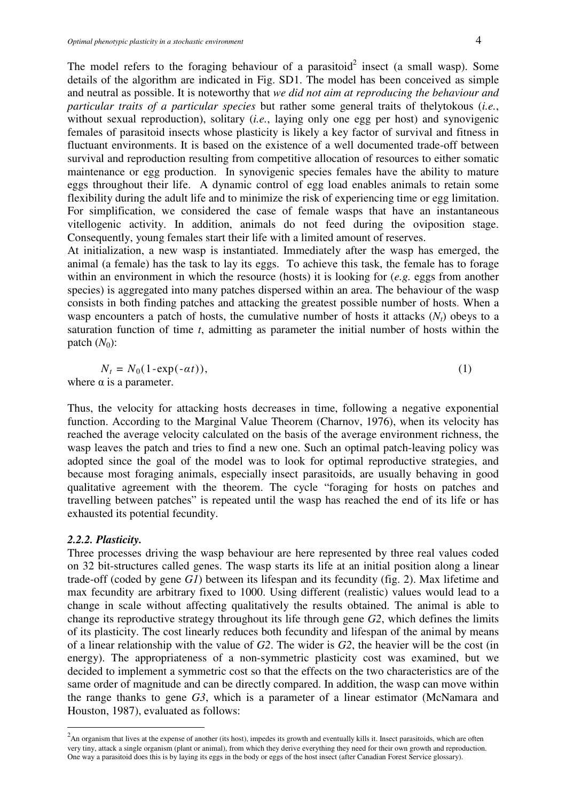The model refers to the foraging behaviour of a parasitoid<sup>2</sup> insect (a small wasp). Some details of the algorithm are indicated in Fig. SD1. The model has been conceived as simple and neutral as possible. It is noteworthy that *we did not aim at reproducing the behaviour and particular traits of a particular species* but rather some general traits of thelytokous (*i.e.*, without sexual reproduction), solitary (*i.e.*, laying only one egg per host) and synovigenic females of parasitoid insects whose plasticity is likely a key factor of survival and fitness in fluctuant environments. It is based on the existence of a well documented trade-off between survival and reproduction resulting from competitive allocation of resources to either somatic maintenance or egg production. In synovigenic species females have the ability to mature eggs throughout their life. A dynamic control of egg load enables animals to retain some flexibility during the adult life and to minimize the risk of experiencing time or egg limitation. For simplification, we considered the case of female wasps that have an instantaneous vitellogenic activity. In addition, animals do not feed during the oviposition stage. Consequently, young females start their life with a limited amount of reserves.

At initialization, a new wasp is instantiated. Immediately after the wasp has emerged, the animal (a female) has the task to lay its eggs. To achieve this task, the female has to forage within an environment in which the resource (hosts) it is looking for (*e.g.* eggs from another species) is aggregated into many patches dispersed within an area. The behaviour of the wasp consists in both finding patches and attacking the greatest possible number of hosts. When a wasp encounters a patch of hosts, the cumulative number of hosts it attacks  $(N_t)$  obeys to a saturation function of time *t*, admitting as parameter the initial number of hosts within the patch  $(N_0)$ :

 $N_t = N_0(1 - \exp(-\alpha t)),$  (1) where  $\alpha$  is a parameter.

Thus, the velocity for attacking hosts decreases in time, following a negative exponential function. According to the Marginal Value Theorem (Charnov, 1976), when its velocity has reached the average velocity calculated on the basis of the average environment richness, the wasp leaves the patch and tries to find a new one. Such an optimal patch-leaving policy was adopted since the goal of the model was to look for optimal reproductive strategies, and because most foraging animals, especially insect parasitoids, are usually behaving in good qualitative agreement with the theorem. The cycle "foraging for hosts on patches and travelling between patches" is repeated until the wasp has reached the end of its life or has exhausted its potential fecundity.

## *2.2.2. Plasticity.*

 $\overline{a}$ 

Three processes driving the wasp behaviour are here represented by three real values coded on 32 bit-structures called genes. The wasp starts its life at an initial position along a linear trade-off (coded by gene *G1*) between its lifespan and its fecundity (fig. 2). Max lifetime and max fecundity are arbitrary fixed to 1000. Using different (realistic) values would lead to a change in scale without affecting qualitatively the results obtained. The animal is able to change its reproductive strategy throughout its life through gene *G2*, which defines the limits of its plasticity. The cost linearly reduces both fecundity and lifespan of the animal by means of a linear relationship with the value of *G2*. The wider is *G2*, the heavier will be the cost (in energy). The appropriateness of a non-symmetric plasticity cost was examined, but we decided to implement a symmetric cost so that the effects on the two characteristics are of the same order of magnitude and can be directly compared. In addition, the wasp can move within the range thanks to gene *G3*, which is a parameter of a linear estimator (McNamara and Houston, 1987), evaluated as follows:

 $2<sup>2</sup>$ An organism that lives at the expense of another (its host), impedes its growth and eventually kills it. Insect parasitoids, which are often very tiny, attack a single organism (plant or animal), from which they derive everything they need for their own growth and reproduction. One way a parasitoid does this is by laying its eggs in the body or eggs of the host insect (after Canadian Forest Service glossary).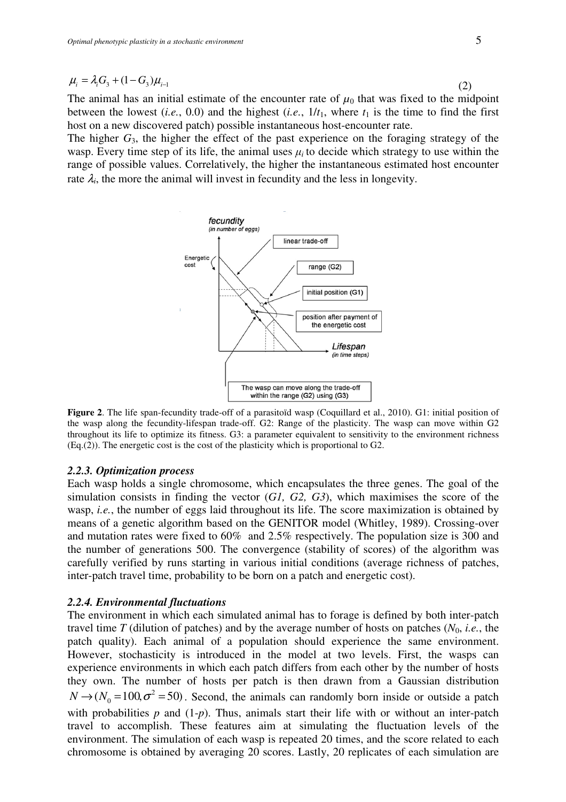$$
\mu_i = \lambda_i G_3 + (1 - G_3)\mu_{i-1}
$$

The animal has an initial estimate of the encounter rate of  $\mu_0$  that was fixed to the midpoint between the lowest (*i.e.*, 0.0) and the highest (*i.e.*,  $1/t_1$ , where  $t_1$  is the time to find the first host on a new discovered patch) possible instantaneous host-encounter rate.

The higher *G*3, the higher the effect of the past experience on the foraging strategy of the wasp. Every time step of its life, the animal uses  $\mu_i$  to decide which strategy to use within the range of possible values. Correlatively, the higher the instantaneous estimated host encounter rate  $\lambda_i$ , the more the animal will invest in fecundity and the less in longevity.



Figure 2. The life span-fecundity trade-off of a parasitoïd wasp (Coquillard et al., 2010). G1: initial position of the wasp along the fecundity-lifespan trade-off. G2: Range of the plasticity. The wasp can move within G2 throughout its life to optimize its fitness. G3: a parameter equivalent to sensitivity to the environment richness (Eq.(2)). The energetic cost is the cost of the plasticity which is proportional to G2.

#### *2.2.3. Optimization process*

Each wasp holds a single chromosome, which encapsulates the three genes. The goal of the simulation consists in finding the vector ( *G1, G2, G3*), which maximises the score of the wasp, *i.e.*, the number of eggs laid throughout its life. The score maximization is obtained by means of a genetic algorithm based on the GENITOR model (Whitley, 1989) 1989). Crossing-over and mutation rates were fixed to 60% and 2.5% respectively. The population size is 300 and the number of generations 500. The convergence (stability of scores) of the algorithm was carefully verified by runs starting in various initial conditions (average richness of patches, inter-patch travel time, probability to be born on a patch and energetic cost) d 2.5% respectively. The population<br>vergence (stability of scores) of the<br>lious initial conditions (average ric<br>orn on a patch and energetic cost).

#### *2.2.4. Environmental fluctuations*

The environment in which each simulated animal has to forage is defined by both inter-patch travel time  $T$  (dilution of patches) and by the average number of hosts on patches  $(N_0, i.e.,$  the travel time  $T$  (dilution of patches) and by the average number of hosts on patches  $(N_0, i.e.,$  the patch quality). Each animal of a population should experience the same environment. However, stochasticity is introduced in the model at two levels. First, the wasps can experience environments in which each patch differs from each other by the number of hosts they own. The number of hosts per patch is then drawn from a Gaussian distribution  $N \rightarrow (N_0 = 100, \sigma^2 = 50)$ . Second, the animals can randomly born inside or outside a patch with probabilities  $p$  and  $(1-p)$ . Thus, animals start their life with or without an inter travel to accomplish. These features aim at simulating the fluctuation levels of the environment. The simulation of each wasp is repeated 20 times, and the score related to each chromosome is obtained by averaging 20 scores. Lastly, 20 replicates of each simulation are tion should experience the same environment.<br>the model at two levels. First, the wasps can<br>ch differs from each other by the number of hosts<br>ch is then drawn from a Gaussian distribution<br>nals can randomly born inside or ou

(2)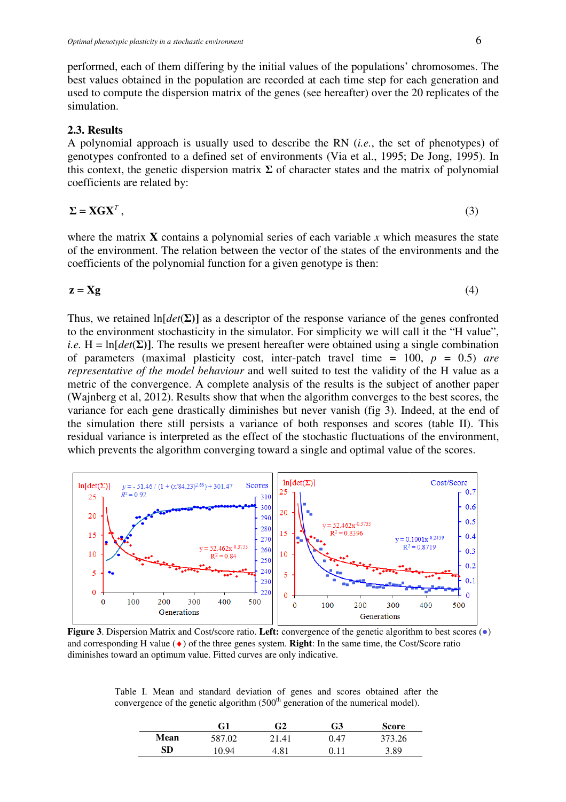performed, each of them differing by the initial values of the populations' chromosomes. The best values obtained in the population are recorded at each time step for each generation and used to compute the dispersion matrix of the genes (see hereafter) over the 20 replicates of the simulation.

#### **2.3. Results**

A polynomial approach is usually used to describe the RN ( *i.e.*, the set of phenotypes) of genotypes confronted to a defined set of environments (Via et al., 1995; De Jong, 1995) 1995). In this context, the genetic dispersion matrix  $\Sigma$  of character states and the matrix of polynomial coefficients are related by:

$$
\Sigma = \mathbf{X} \mathbf{G} \mathbf{X}^T, \tag{3}
$$

where the matrix  $X$  contains a polynomial series of each variable  $x$  which measures the state of the environment. The relation between the vector of the states of the environments and the coefficients of the polynomial function for a given g genotype is then:

$$
z = Xg \tag{4}
$$

Thus, we retained  $\ln[\det(\Sigma)]$  as a descriptor of the response variance of the genes confronted to the environment stochasticity in the simulator. For simplicity we will call it the "H value", *i.e.* H = ln[ $det(\Sigma)$ ]. The results we present hereafter were obtained using a single combination of parameters (maximal plasticity cost, inter-patch travel time =  $100$ ,  $p = 0.5$ ) *are* representative of the model behaviour and well suited to test the validity of the H value as a metric of the convergence. A complete analysis of the results is the subject of another paper (Wajnberg et al, 2012). Results show that when the algorithm converges to the best scores scores, the variance for each gene drastically diminishes but never vanish (fig 3). Indeed, at the end of the simulation there still persists a variance of both responses and scores (table II). This residual variance is interpreted as the effect of the stochastic fluctuations o which prevents the algorithm converging toward a single and optimal value of the scores. . Indeed, at the end of scores (table II). This ns of the environment,



**Figure 3**. Dispersion Matrix and Cost/score ratio. Left: convergence of the genetic algorithm to best scores ( $\bullet$ ) and corresponding H value (♦) of the three genes system. **Right**: In the same time, the Cost/Score ratio diminishes toward an optimum value. Fitted curves are only indicative.

Table I. Mean and standard deviation of genes and scores obtained after the convergence of the genetic algorithm  $(500<sup>th</sup>$  generation of the numerical model).

|      | G1     | G2    | G3   | Score  |
|------|--------|-------|------|--------|
| Mean | 587.02 | 21.41 | 0.47 | 373.26 |
| SD   | 0.94   | 4.81  |      | 3.89   |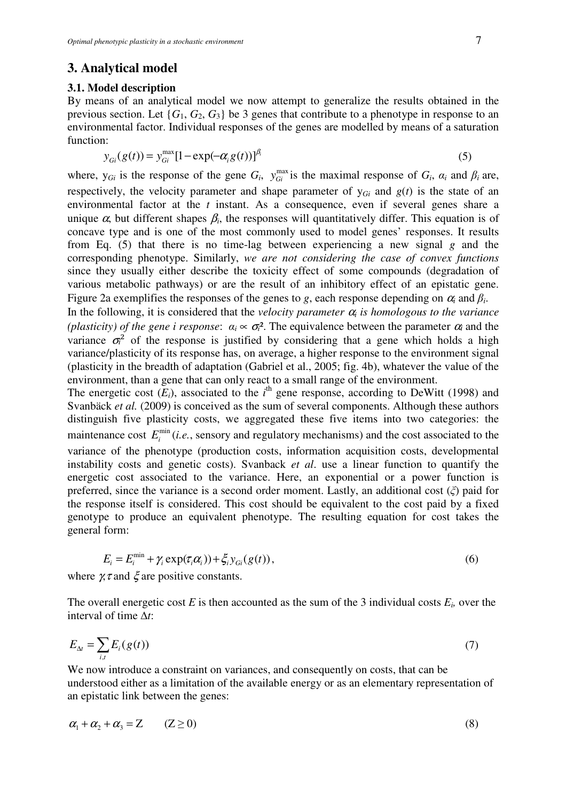## **3. Analytical model**

#### **3.1. Model description**

By means of an analytical model we now attempt to generalize the results obtained in the previous section. Let  $\{G_1, G_2, G_3\}$  be 3 genes that contribute to a phenotype in response to an environmental factor. Individual responses of the genes are modelled by means of a saturation function:

$$
y_{Gi}(g(t)) = y_{Gi}^{\max} [1 - \exp(-\alpha_{i} g(t))]^{\beta_{i}}
$$
\n(5)

where,  $y_{Gi}$  is the response of the gene  $G_i$ ,  $y_{Gi}^{\max}$  is the maximal response of  $G_i$ ,  $\alpha_i$  and  $\beta_i$  are, respectively, the velocity parameter and shape parameter of  $y_{Gi}$  and  $g(t)$  is the state of an environmental factor at the *t* instant. As a consequence, even if several genes share a unique  $\alpha$ , but different shapes  $\beta_i$ , the responses will quantitatively differ. This equation is of concave type and is one of the most commonly used to model genes' responses. It results from Eq. (5) that there is no time-lag between experiencing a new signal *g* and the corresponding phenotype. Similarly, *we are not considering the case of convex functions* since they usually either describe the toxicity effect of some compounds (degradation of various metabolic pathways) or are the result of an inhibitory effect of an epistatic gene. Figure 2a exemplifies the responses of the genes to *g*, each response depending on  $\alpha_i$  and  $\beta_i$ .

In the following, it is considered that the *velocity parameter*  $\alpha_i$  *is homologous to the variance (plasticity) of the gene i response:*  $\alpha_i \propto \sigma_i^2$ . The equivalence between the parameter  $\alpha_i$  and the variance  $\sigma_i^2$  of the response is justified by considering that a gene which holds a high variance/plasticity of its response has, on average, a higher response to the environment signal (plasticity in the breadth of adaptation (Gabriel et al., 2005; fig. 4b), whatever the value of the environment, than a gene that can only react to a small range of the environment.

The energetic cost  $(E_i)$ , associated to the  $i^{\text{th}}$  gene response, according to DeWitt (1998) and Svanbäck *et al.* (2009) is conceived as the sum of several components. Although these authors distinguish five plasticity costs, we aggregated these five items into two categories: the maintenance cost  $E_i^{\min}$  *(i.e.*, sensory and regulatory mechanisms) and the cost associated to the variance of the phenotype (production costs, information acquisition costs, developmental instability costs and genetic costs). Svanback *et al*. use a linear function to quantify the energetic cost associated to the variance. Here, an exponential or a power function is preferred, since the variance is a second order moment. Lastly, an additional cost  $(\xi)$  paid for the response itself is considered. This cost should be equivalent to the cost paid by a fixed genotype to produce an equivalent phenotype. The resulting equation for cost takes the general form:

$$
E_i = E_i^{\min} + \gamma_i \exp(\tau_i \alpha_i) + \xi_i y_{Gi}(g(t)),
$$
\n(6)

where  $\gamma$  and  $\xi$  are positive constants.

The overall energetic cost  $E$  is then accounted as the sum of the 3 individual costs  $E_i$ , over the interval of time ∆*t*:

$$
E_{\Delta t} = \sum_{i,t} E_i(g(t)) \tag{7}
$$

We now introduce a constraint on variances, and consequently on costs, that can be understood either as a limitation of the available energy or as an elementary representation of an epistatic link between the genes:

$$
\alpha_1 + \alpha_2 + \alpha_3 = Z \qquad (Z \ge 0)
$$
\n<sup>(8)</sup>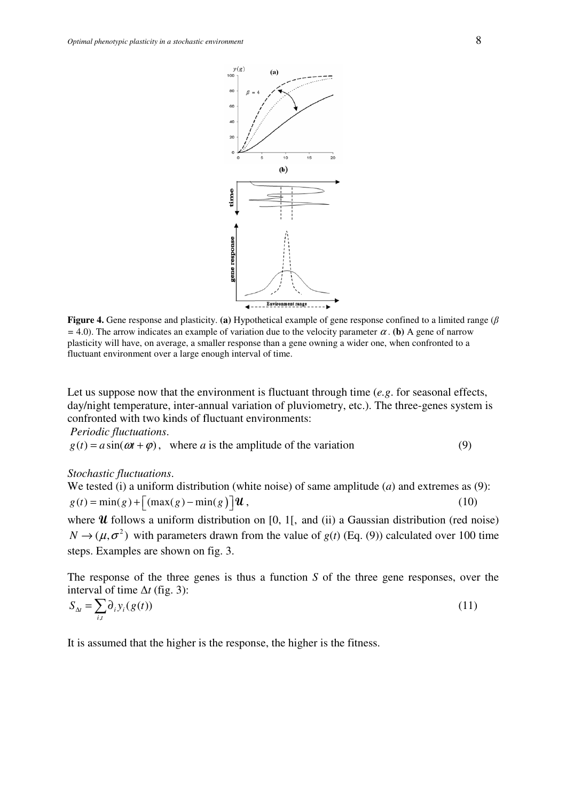

**Figure 4.** Gene response and plasticity. **(a)** Hypothetical example of gene response confined to a limited range ( β  $=$  4.0). The arrow indicates an example of variation due to the velocity parameter  $\alpha$ . (**b**) A gene of narrow plasticity will have, on average, a smaller response than a gene owning a wider one, when confronted to a fluctuant environment over a large enough interval of time.

Let us suppose now that the environment is fluctuant through time  $(e.g.$  for seasonal effects, day/night temperature, inter-annual variation of pluviometry, etc.). The three-genes system is confronted with two kinds of fluctuant environments:

*Periodic fluctuations.*  
\n
$$
g(t) = a \sin(\omega t + \varphi)
$$
, where *a* is the amplitude of the variation\n
$$
(9)
$$

#### *Stochastic fluctuations*.

We tested (i) a uniform distribution (white noise) of same amplitude  $(a)$  and extremes as  $(9)$ :  $g(t) = \min(g) + \left[ (\max(g) - \min(g)) \right] \mathbf{u},$ (10)

where  $\mathcal{U}$  follows a uniform distribution on [0, 1[, and (ii) a Gaussian distribution (red noise)  $N \rightarrow (\mu, \sigma^2)$  with parameters drawn from the value of *g*(*t*) (Eq. (9)) calculated over 100 time steps. Examples are shown on fig. 3.

The response of the three genes is thus a function  $S$  of the three gene responses, over the interval of time ∆*t* (fig. 3):

$$
S_{\Delta t} = \sum_{i,t} \partial_i y_i(g(t)) \tag{11}
$$

It is assumed that the higher is the response, the higher is the fitness.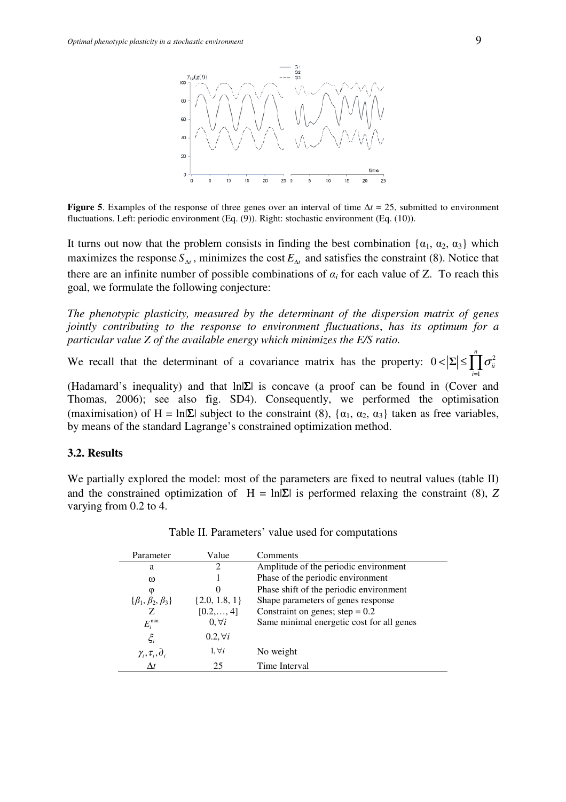

**Figure 5**. Examples of the response of three genes over an interval of time  $\Delta t = 25$ , submitted to environment fluctuations. Left: periodic environment (Eq. (9)). Right: stochastic environment (Eq. (10)). fluctuations. Left: periodic environment ( (Eq. (9)). Right: stochastic environment (Eq. (10)

It turns out now that the problem consists in finding the best combination  $\{\alpha_1, \alpha_2, \alpha_3\}$  which maximizes the response  $S_{\Delta t}$ , minimizes the cost  $E_{\Delta t}$  and satisfies the constraint (8). Notice that there are an infinite number of possible combinations of  $\alpha_i$  for each value of Z. To reach this goal, we formulate the following conjecture:

The phenotypic plasticity, measured by the determinant of the dispersion matrix of genes *jointly contributing to the response to environment fluctuations* , *has its optimum for a particular value Z of the available energy which minimizes the E/S ratio.* 

We recall that the determinant of a covariance matrix has the property:  $0 < |\Sigma| \le \prod_{i=1}$ *ii*  $0<|\Sigma|\leq \prod \sigma_{ii}^2$ 

(Hadamard's inequality) and that  $\ln|\Sigma|$  is concave (a proof can be found in (Cover and Thomas, 2006); see also fig. SD4). Consequently, we performed the optimisation (maximisation) of H = ln $\Sigma$  subject to the constraint (8), { $\alpha_1$ ,  $\alpha_2$ ,  $\alpha_3$ } taken as free variables, by means of the standard Lagrange's constrained optimization method.

#### **3.2. Results**

We partially explored the model: most of the parameters are fixed to neutral values (table II) and the constrained optimization of  $H = \ln |\Sigma|$  is performed relaxing the constraint (8), *Z* varying from 0.2 to 4.

| Parameter                       | Value             | Comments                                  |
|---------------------------------|-------------------|-------------------------------------------|
| a                               | 2                 | Amplitude of the periodic environment     |
| $\omega$                        |                   | Phase of the periodic environment         |
| φ                               | $_{0}$            | Phase shift of the periodic environment   |
| $\{\beta_1, \beta_2, \beta_3\}$ | $\{2.0, 1.8, 1\}$ | Shape parameters of genes response        |
|                                 | [0.2,,4]          | Constraint on genes; step = $0.2$         |
| $E_i^{\min}$                    | $0, \forall i$    | Same minimal energetic cost for all genes |
| $\xi_i$                         | $0.2, \forall i$  |                                           |
| $\gamma_i, \tau_i, \partial_i$  | $1, \forall i$    | No weight                                 |
|                                 | 25                | Time Interval                             |

Table II I. Parameters' value used for computations

*n*

*i*

1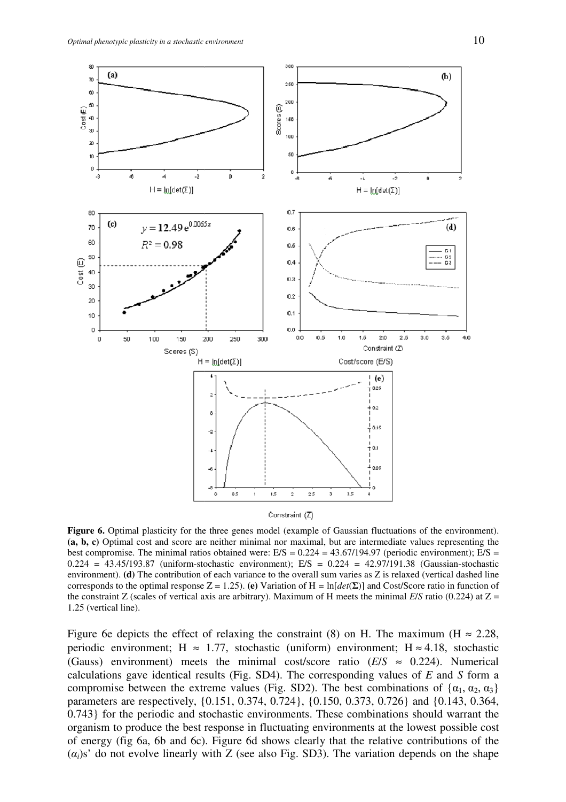

Constraint (Z)

Figure 6. Optimal plasticity for the three genes model (example of Gaussian fluctuations of the environment). **(a, b, c)** Optimal cost and score are neither minimal nor maximal, but are intermediate values representing the best compromise. The minimal ratios obtained were:  $E/S = 0.224 = 43.67/194.97$  (periodic environment);  $E/S = 0.224 = 43.67/194.97$ best compromise. The minimal ratios obtained were:  $E/S = 0.224 = 43.67/194.97$  (periodic environment);  $E/S = 0.224 = 43.45/193.87$  (uniform-stochastic environment);  $E/S = 0.224 = 42.97/191.38$  (Gaussian-stochastic environment). **(d)** The contribution of each variance to the overall sum varies as  $Z$  is relaxed (vertical dashed line corresponds to the optimal response  $Z = 1.25$ . (e) Variation of  $H = \ln{det}(\Sigma)$  and Cost/Score ratio in function of the constraint Z (scales of vertical axis are arbitrary). Maximum of H meets the minimal *E*/*S* ratio (0.224) at Z = 1.25 (vertical line).

Figure 6e depicts the effect of relaxing the constraint (8) on H. The maximum ( $H \approx 2.28$ , periodic environment;  $H \approx 1.77$ , stochastic (uniform) environment;  $H \approx 4.18$ , stochastic (Gauss) environment) meets the minimal cost/score ratio ( $E/S \approx 0.224$ ). Numerical calculations gave identical results (Fig. SD4). The corresponding values of *E* and *S* form a compromise between the extreme values (Fig. SD2). The best combinations of  $\{\alpha_1, \alpha_2, \alpha_3\}$ parameters are respectively,  $\{0.151, 0.374, 0.724\}$ ,  $\{0.150, 0.373, 0.726\}$  and  $\{0.143, 0.364,$ 0.743} for the periodic and stochastic environments. These combinations should warrant the organism to produce the best response in fluctuating environments at the lowest possible cost of energy (fig 6a, 6b and 6c). Figure 6d shows clearly that the relative contributions of the  $(\alpha_i)$ s' do not evolve linearly with Z (see also Fig. SD3). The variation depends on the shape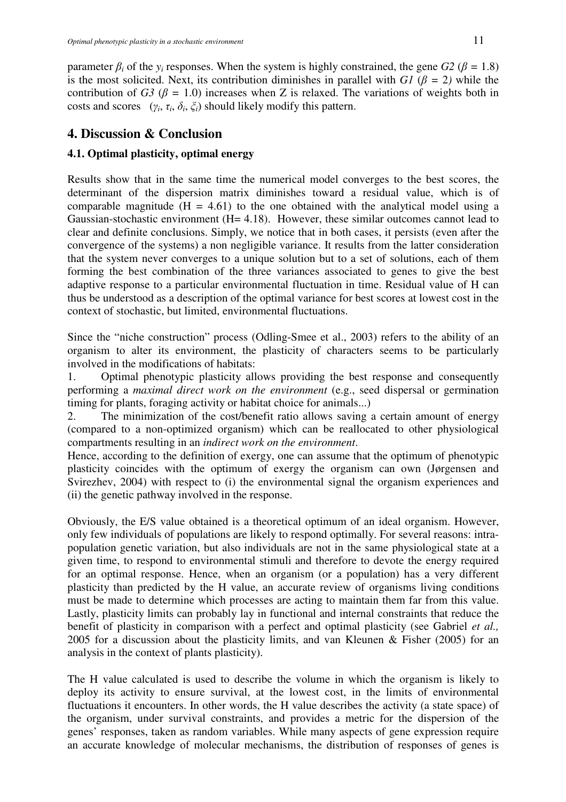parameter  $\beta_i$  of the  $y_i$  responses. When the system is highly constrained, the gene  $G2 (\beta = 1.8)$ is the most solicited. Next, its contribution diminishes in parallel with  $GI$  ( $\beta = 2$ ) while the contribution of *G3* ( $\beta$  = 1.0) increases when Z is relaxed. The variations of weights both in costs and scores  $(\gamma_i, \tau_i, \delta_i, \xi_i)$  should likely modify this pattern.

# **4. Discussion & Conclusion**

## **4.1. Optimal plasticity, optimal energy**

Results show that in the same time the numerical model converges to the best scores, the determinant of the dispersion matrix diminishes toward a residual value, which is of comparable magnitude  $(H = 4.61)$  to the one obtained with the analytical model using a Gaussian-stochastic environment (H= 4.18). However, these similar outcomes cannot lead to clear and definite conclusions. Simply, we notice that in both cases, it persists (even after the convergence of the systems) a non negligible variance. It results from the latter consideration that the system never converges to a unique solution but to a set of solutions, each of them forming the best combination of the three variances associated to genes to give the best adaptive response to a particular environmental fluctuation in time. Residual value of H can thus be understood as a description of the optimal variance for best scores at lowest cost in the context of stochastic, but limited, environmental fluctuations.

Since the "niche construction" process (Odling-Smee et al., 2003) refers to the ability of an organism to alter its environment, the plasticity of characters seems to be particularly involved in the modifications of habitats:

1. Optimal phenotypic plasticity allows providing the best response and consequently performing a *maximal direct work on the environment* (e.g., seed dispersal or germination timing for plants, foraging activity or habitat choice for animals...)

2. The minimization of the cost/benefit ratio allows saving a certain amount of energy (compared to a non-optimized organism) which can be reallocated to other physiological compartments resulting in an *indirect work on the environment*.

Hence, according to the definition of exergy, one can assume that the optimum of phenotypic plasticity coincides with the optimum of exergy the organism can own (Jørgensen and Svirezhev, 2004) with respect to (i) the environmental signal the organism experiences and (ii) the genetic pathway involved in the response.

Obviously, the E/S value obtained is a theoretical optimum of an ideal organism. However, only few individuals of populations are likely to respond optimally. For several reasons: intrapopulation genetic variation, but also individuals are not in the same physiological state at a given time, to respond to environmental stimuli and therefore to devote the energy required for an optimal response. Hence, when an organism (or a population) has a very different plasticity than predicted by the H value, an accurate review of organisms living conditions must be made to determine which processes are acting to maintain them far from this value. Lastly, plasticity limits can probably lay in functional and internal constraints that reduce the benefit of plasticity in comparison with a perfect and optimal plasticity (see Gabriel *et al.,*  2005 for a discussion about the plasticity limits, and van Kleunen & Fisher (2005) for an analysis in the context of plants plasticity).

The H value calculated is used to describe the volume in which the organism is likely to deploy its activity to ensure survival, at the lowest cost, in the limits of environmental fluctuations it encounters. In other words, the H value describes the activity (a state space) of the organism, under survival constraints, and provides a metric for the dispersion of the genes' responses, taken as random variables. While many aspects of gene expression require an accurate knowledge of molecular mechanisms, the distribution of responses of genes is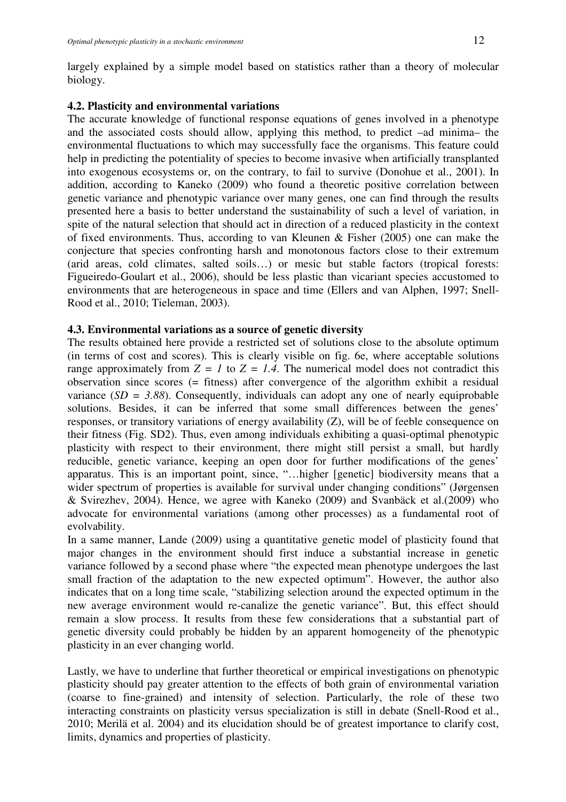largely explained by a simple model based on statistics rather than a theory of molecular biology.

#### **4.2. Plasticity and environmental variations**

The accurate knowledge of functional response equations of genes involved in a phenotype and the associated costs should allow, applying this method, to predict –ad minima– the environmental fluctuations to which may successfully face the organisms. This feature could help in predicting the potentiality of species to become invasive when artificially transplanted into exogenous ecosystems or, on the contrary, to fail to survive (Donohue et al., 2001). In addition, according to Kaneko (2009) who found a theoretic positive correlation between genetic variance and phenotypic variance over many genes, one can find through the results presented here a basis to better understand the sustainability of such a level of variation, in spite of the natural selection that should act in direction of a reduced plasticity in the context of fixed environments. Thus, according to van Kleunen & Fisher (2005) one can make the conjecture that species confronting harsh and monotonous factors close to their extremum (arid areas, cold climates, salted soils…) or mesic but stable factors (tropical forests: Figueiredo-Goulart et al., 2006), should be less plastic than vicariant species accustomed to environments that are heterogeneous in space and time (Ellers and van Alphen, 1997; Snell-Rood et al., 2010; Tieleman, 2003).

## **4.3. Environmental variations as a source of genetic diversity**

The results obtained here provide a restricted set of solutions close to the absolute optimum (in terms of cost and scores). This is clearly visible on fig. 6e, where acceptable solutions range approximately from  $Z = I$  to  $Z = I.A$ . The numerical model does not contradict this observation since scores (= fitness) after convergence of the algorithm exhibit a residual variance  $(SD = 3.88)$ . Consequently, individuals can adopt any one of nearly equiprobable solutions. Besides, it can be inferred that some small differences between the genes' responses, or transitory variations of energy availability (Z), will be of feeble consequence on their fitness (Fig. SD2). Thus, even among individuals exhibiting a quasi-optimal phenotypic plasticity with respect to their environment, there might still persist a small, but hardly reducible, genetic variance, keeping an open door for further modifications of the genes' apparatus. This is an important point, since, "…higher [genetic] biodiversity means that a wider spectrum of properties is available for survival under changing conditions" (Jørgensen & Svirezhev, 2004). Hence, we agree with Kaneko (2009) and Svanbäck et al.(2009) who advocate for environmental variations (among other processes) as a fundamental root of evolvability.

In a same manner, Lande (2009) using a quantitative genetic model of plasticity found that major changes in the environment should first induce a substantial increase in genetic variance followed by a second phase where "the expected mean phenotype undergoes the last small fraction of the adaptation to the new expected optimum". However, the author also indicates that on a long time scale, "stabilizing selection around the expected optimum in the new average environment would re-canalize the genetic variance". But, this effect should remain a slow process. It results from these few considerations that a substantial part of genetic diversity could probably be hidden by an apparent homogeneity of the phenotypic plasticity in an ever changing world.

Lastly, we have to underline that further theoretical or empirical investigations on phenotypic plasticity should pay greater attention to the effects of both grain of environmental variation (coarse to fine-grained) and intensity of selection. Particularly, the role of these two interacting constraints on plasticity versus specialization is still in debate (Snell-Rood et al., 2010; Merilä et al. 2004) and its elucidation should be of greatest importance to clarify cost, limits, dynamics and properties of plasticity.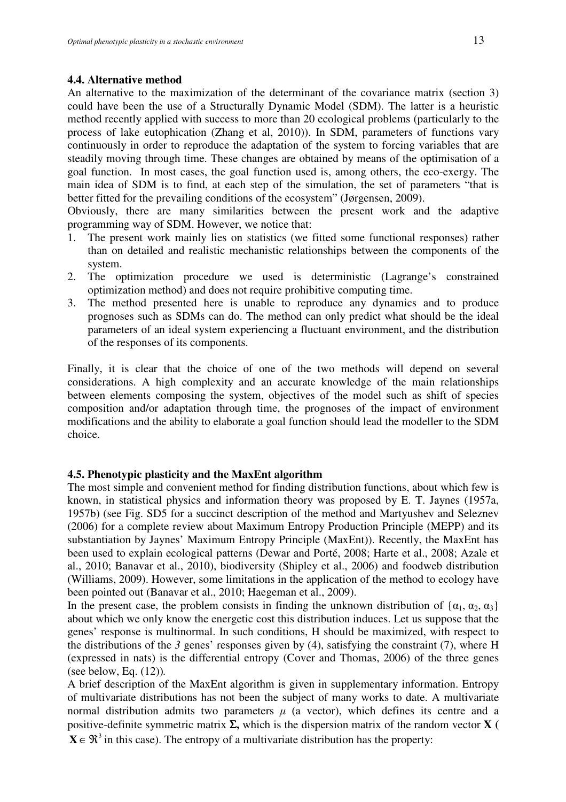#### **4.4. Alternative method**

An alternative to the maximization of the determinant of the covariance matrix (section 3) could have been the use of a Structurally Dynamic Model (SDM). The latter is a heuristic method recently applied with success to more than 20 ecological problems (particularly to the process of lake eutophication (Zhang et al, 2010)). In SDM, parameters of functions vary continuously in order to reproduce the adaptation of the system to forcing variables that are steadily moving through time. These changes are obtained by means of the optimisation of a goal function. In most cases, the goal function used is, among others, the eco-exergy. The main idea of SDM is to find, at each step of the simulation, the set of parameters "that is better fitted for the prevailing conditions of the ecosystem" (Jørgensen, 2009).

Obviously, there are many similarities between the present work and the adaptive programming way of SDM. However, we notice that:

- 1. The present work mainly lies on statistics (we fitted some functional responses) rather than on detailed and realistic mechanistic relationships between the components of the system.
- 2. The optimization procedure we used is deterministic (Lagrange's constrained optimization method) and does not require prohibitive computing time.
- 3. The method presented here is unable to reproduce any dynamics and to produce prognoses such as SDMs can do. The method can only predict what should be the ideal parameters of an ideal system experiencing a fluctuant environment, and the distribution of the responses of its components.

Finally, it is clear that the choice of one of the two methods will depend on several considerations. A high complexity and an accurate knowledge of the main relationships between elements composing the system, objectives of the model such as shift of species composition and/or adaptation through time, the prognoses of the impact of environment modifications and the ability to elaborate a goal function should lead the modeller to the SDM choice.

## **4.5. Phenotypic plasticity and the MaxEnt algorithm**

The most simple and convenient method for finding distribution functions, about which few is known, in statistical physics and information theory was proposed by E. T. Jaynes (1957a, 1957b) (see Fig. SD5 for a succinct description of the method and Martyushev and Seleznev (2006) for a complete review about Maximum Entropy Production Principle (MEPP) and its substantiation by Jaynes' Maximum Entropy Principle (MaxEnt)). Recently, the MaxEnt has been used to explain ecological patterns (Dewar and Porté, 2008; Harte et al., 2008; Azale et al., 2010; Banavar et al., 2010), biodiversity (Shipley et al., 2006) and foodweb distribution (Williams, 2009). However, some limitations in the application of the method to ecology have been pointed out (Banavar et al., 2010; Haegeman et al., 2009).

In the present case, the problem consists in finding the unknown distribution of  $\{\alpha_1, \alpha_2, \alpha_3\}$ about which we only know the energetic cost this distribution induces. Let us suppose that the genes' response is multinormal. In such conditions, H should be maximized, with respect to the distributions of the  $\beta$  genes' responses given by (4), satisfying the constraint (7), where H (expressed in nats) is the differential entropy (Cover and Thomas, 2006) of the three genes (see below, Eq. (12))*.* 

A brief description of the MaxEnt algorithm is given in supplementary information. Entropy of multivariate distributions has not been the subject of many works to date. A multivariate normal distribution admits two parameters  $\mu$  (a vector), which defines its centre and a positive-definite symmetric matrix Σ**,** which is the dispersion matrix of the random vector **X (**  $X \in \mathbb{R}^3$  in this case). The entropy of a multivariate distribution has the property: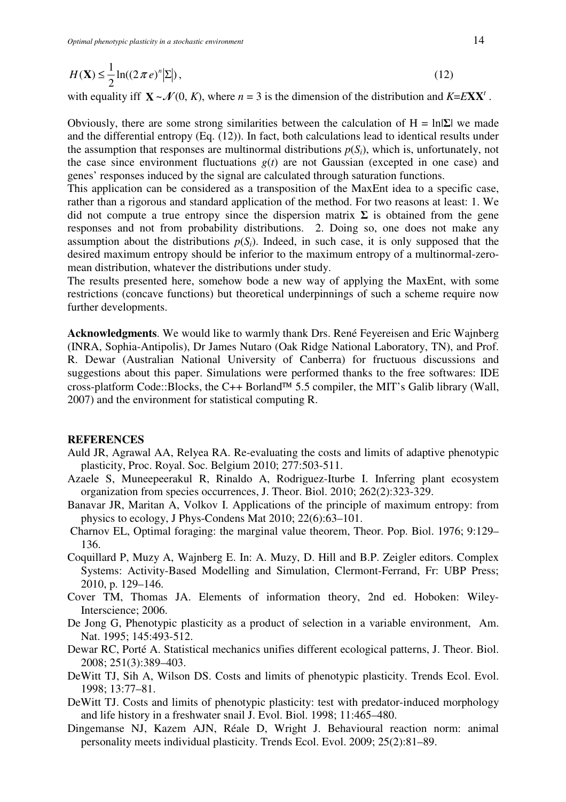$$
H(\mathbf{X}) \le \frac{1}{2} \ln((2 \pi e)^n |\Sigma|),\tag{12}
$$

with equality iff  $X \sim \mathcal{N}(0, K)$ , where  $n = 3$  is the dimension of the distribution and  $K = EXX^t$ .

Obviously, there are some strong similarities between the calculation of  $H = ln|\Sigma|$  we made and the differential entropy (Eq. (12)). In fact, both calculations lead to identical results under the assumption that responses are multinormal distributions  $p(S_i)$ , which is, unfortunately, not the case since environment fluctuations  $g(t)$  are not Gaussian (excepted in one case) and genes' responses induced by the signal are calculated through saturation functions.

This application can be considered as a transposition of the MaxEnt idea to a specific case, rather than a rigorous and standard application of the method. For two reasons at least: 1. We did not compute a true entropy since the dispersion matrix  $\Sigma$  is obtained from the gene responses and not from probability distributions. 2. Doing so, one does not make any assumption about the distributions  $p(S_i)$ . Indeed, in such case, it is only supposed that the desired maximum entropy should be inferior to the maximum entropy of a multinormal-zeromean distribution, whatever the distributions under study.

The results presented here, somehow bode a new way of applying the MaxEnt, with some restrictions (concave functions) but theoretical underpinnings of such a scheme require now further developments.

**Acknowledgments**. We would like to warmly thank Drs. René Feyereisen and Eric Wajnberg (INRA, Sophia-Antipolis), Dr James Nutaro (Oak Ridge National Laboratory, TN), and Prof. R. Dewar (Australian National University of Canberra) for fructuous discussions and suggestions about this paper. Simulations were performed thanks to the free softwares: IDE cross-platform Code::Blocks, the C++ Borland<sup>TM</sup> 5.5 compiler, the MIT's Galib library (Wall, 2007) and the environment for statistical computing R.

#### **REFERENCES**

- Auld JR, Agrawal AA, Relyea RA. Re-evaluating the costs and limits of adaptive phenotypic plasticity, Proc. Royal. Soc. Belgium 2010; 277:503-511.
- Azaele S, Muneepeerakul R, Rinaldo A, Rodriguez-Iturbe I. Inferring plant ecosystem organization from species occurrences, J. Theor. Biol. 2010; 262(2):323-329.
- Banavar JR, Maritan A, Volkov I. Applications of the principle of maximum entropy: from physics to ecology, J Phys-Condens Mat 2010; 22(6):63–101.
- Charnov EL, Optimal foraging: the marginal value theorem, Theor. Pop. Biol. 1976; 9:129– 136.
- Coquillard P, Muzy A, Wajnberg E. In: A. Muzy, D. Hill and B.P. Zeigler editors. Complex Systems: Activity-Based Modelling and Simulation, Clermont-Ferrand, Fr: UBP Press; 2010, p. 129–146.
- Cover TM, Thomas JA. Elements of information theory, 2nd ed. Hoboken: Wiley-Interscience; 2006.
- De Jong G, Phenotypic plasticity as a product of selection in a variable environment, Am. Nat. 1995; 145:493-512.
- Dewar RC, Porté A. Statistical mechanics unifies different ecological patterns, J. Theor. Biol. 2008; 251(3):389–403.
- DeWitt TJ, Sih A, Wilson DS. Costs and limits of phenotypic plasticity. Trends Ecol. Evol. 1998; 13:77–81.
- DeWitt TJ. Costs and limits of phenotypic plasticity: test with predator-induced morphology and life history in a freshwater snail J. Evol. Biol. 1998; 11:465–480.
- Dingemanse NJ, Kazem AJN, Réale D, Wright J. Behavioural reaction norm: animal personality meets individual plasticity. Trends Ecol. Evol. 2009; 25(2):81–89.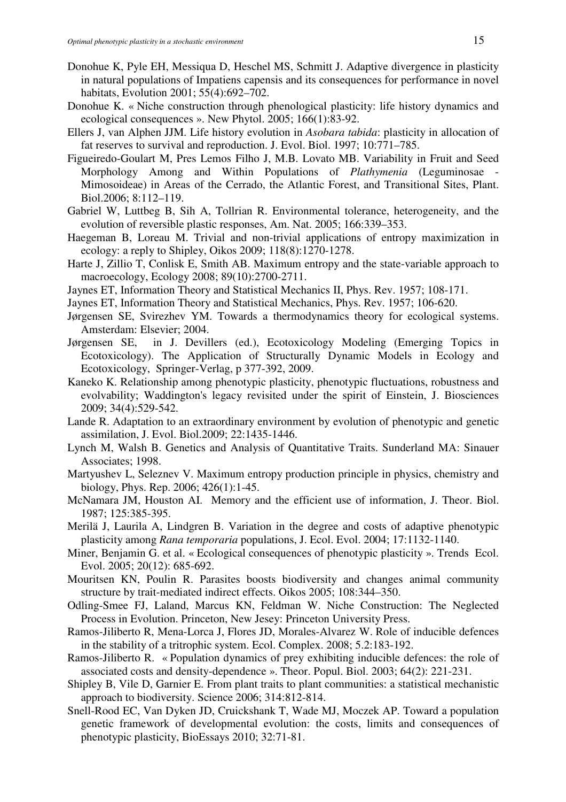- Donohue K, Pyle EH, Messiqua D, Heschel MS, Schmitt J. Adaptive divergence in plasticity in natural populations of Impatiens capensis and its consequences for performance in novel habitats, Evolution 2001; 55(4):692–702.
- Donohue K. « Niche construction through phenological plasticity: life history dynamics and ecological consequences ». New Phytol. 2005; 166(1):83-92.
- Ellers J, van Alphen JJM. Life history evolution in *Asobara tabida*: plasticity in allocation of fat reserves to survival and reproduction. J. Evol. Biol. 1997; 10:771–785.
- Figueiredo-Goulart M, Pres Lemos Filho J, M.B. Lovato MB. Variability in Fruit and Seed Morphology Among and Within Populations of *Plathymenia* (Leguminosae - Mimosoideae) in Areas of the Cerrado, the Atlantic Forest, and Transitional Sites, Plant. Biol.2006; 8:112–119.
- Gabriel W, Luttbeg B, Sih A, Tollrian R. Environmental tolerance, heterogeneity, and the evolution of reversible plastic responses, Am. Nat. 2005; 166:339–353.
- Haegeman B, Loreau M. Trivial and non-trivial applications of entropy maximization in ecology: a reply to Shipley, Oikos 2009; 118(8):1270-1278.
- Harte J, Zillio T, Conlisk E, Smith AB. Maximum entropy and the state-variable approach to macroecology, Ecology 2008; 89(10):2700-2711.
- Jaynes ET, Information Theory and Statistical Mechanics II, Phys. Rev. 1957; 108-171.
- Jaynes ET, Information Theory and Statistical Mechanics, Phys. Rev. 1957; 106-620.
- Jørgensen SE, Svirezhev YM. Towards a thermodynamics theory for ecological systems. Amsterdam: Elsevier; 2004.
- Jørgensen SE, in J. Devillers (ed.), Ecotoxicology Modeling (Emerging Topics in Ecotoxicology). The Application of Structurally Dynamic Models in Ecology and Ecotoxicology, Springer-Verlag, p 377-392, 2009.
- Kaneko K. Relationship among phenotypic plasticity, phenotypic fluctuations, robustness and evolvability; Waddington's legacy revisited under the spirit of Einstein, J. Biosciences 2009; 34(4):529-542.
- Lande R. Adaptation to an extraordinary environment by evolution of phenotypic and genetic assimilation, J. Evol. Biol.2009; 22:1435-1446.
- Lynch M, Walsh B. Genetics and Analysis of Quantitative Traits. Sunderland MA: Sinauer Associates; 1998.
- Martyushev L, Seleznev V. Maximum entropy production principle in physics, chemistry and biology, Phys. Rep. 2006; 426(1):1-45.
- McNamara JM, Houston AI. Memory and the efficient use of information, J. Theor. Biol. 1987; 125:385-395.
- Merilä J, Laurila A, Lindgren B. Variation in the degree and costs of adaptive phenotypic plasticity among *Rana temporaria* populations, J. Ecol. Evol. 2004; 17:1132-1140.
- Miner, Benjamin G. et al. « Ecological consequences of phenotypic plasticity ». Trends Ecol. Evol. 2005; 20(12): 685-692.
- Mouritsen KN, Poulin R. Parasites boosts biodiversity and changes animal community structure by trait-mediated indirect effects. Oikos 2005; 108:344–350.
- Odling-Smee FJ, Laland, Marcus KN, Feldman W. Niche Construction: The Neglected Process in Evolution. Princeton, New Jesey: Princeton University Press.
- Ramos-Jiliberto R, Mena-Lorca J, Flores JD, Morales-Alvarez W. Role of inducible defences in the stability of a tritrophic system. Ecol. Complex. 2008; 5.2:183-192.
- Ramos-Jiliberto R. « Population dynamics of prey exhibiting inducible defences: the role of associated costs and density-dependence ». Theor. Popul. Biol. 2003; 64(2): 221-231.
- Shipley B, Vile D, Garnier E. From plant traits to plant communities: a statistical mechanistic approach to biodiversity. Science 2006; 314:812-814.
- Snell-Rood EC, Van Dyken JD, Cruickshank T, Wade MJ, Moczek AP. Toward a population genetic framework of developmental evolution: the costs, limits and consequences of phenotypic plasticity, BioEssays 2010; 32:71-81.